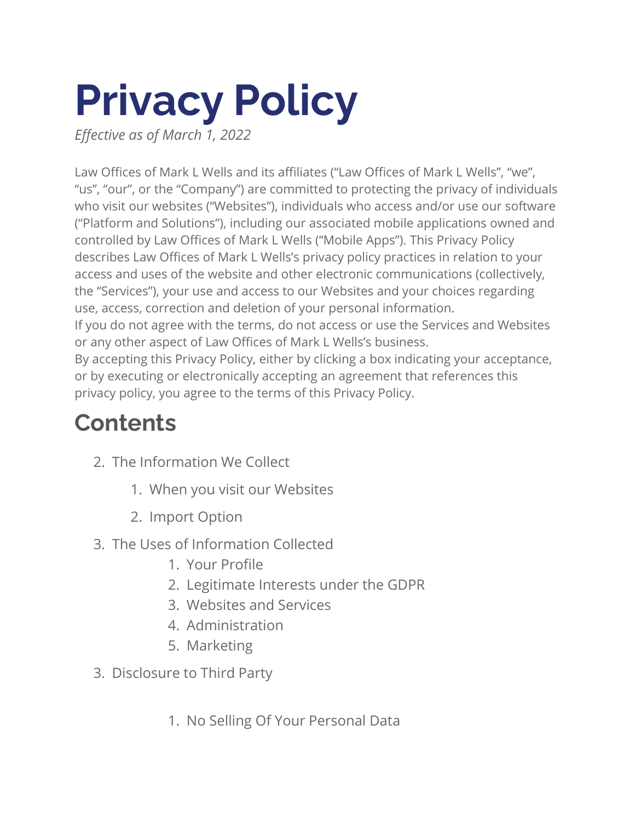# **Privacy Policy**

*Effective as of March 1, 2022*

Law Offices of Mark L Wells and its affiliates ("Law Offices of Mark L Wells", "we", "us", "our", or the "Company") are committed to protecting the privacy of individuals who visit our websites ("Websites"), individuals who access and/or use our software ("Platform and Solutions"), including our associated mobile applications owned and controlled by Law Offices of Mark L Wells ("Mobile Apps"). This Privacy Policy describes Law Offices of Mark L Wells's privacy policy practices in relation to your access and uses of the website and other electronic communications (collectively, the "Services"), your use and access to our Websites and your choices regarding use, access, correction and deletion of your personal information. If you do not agree with the terms, do not access or use the Services and Websites or any other aspect of Law Offices of Mark L Wells's business. By accepting this Privacy Policy, either by clicking a box indicating your acceptance,

or by executing or electronically accepting an agreement that references this privacy policy, you agree to the terms of this Privacy Policy.

### **Contents**

- 2. The Information We Collect
	- 1. When you visit our Websites
	- 2. Import Option
- 3. The Uses of Information Collected
	- 1. Your Profile
	- 2. Legitimate Interests under the GDPR
	- 3. Websites and Services
	- 4. Administration
	- 5. Marketing
- 3. Disclosure to Third Party
	- 1. No Selling Of Your Personal Data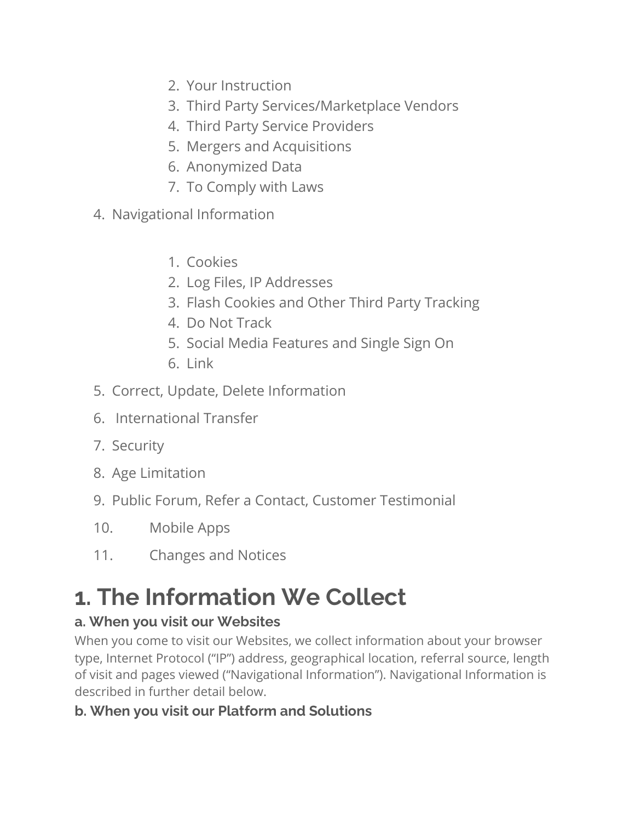- 2. Your Instruction
- 3. Third Party Services/Marketplace Vendors
- 4. Third Party Service Providers
- 5. Mergers and Acquisitions
- 6. Anonymized Data
- 7. To Comply with Laws
- 4. Navigational Information
	- 1. Cookies
	- 2. Log Files, IP Addresses
	- 3. Flash Cookies and Other Third Party Tracking
	- 4. Do Not Track
	- 5. Social Media Features and Single Sign On
	- 6. Link
- 5. Correct, Update, Delete Information
- 6. International Transfer
- 7. Security
- 8. Age Limitation
- 9. Public Forum, Refer a Contact, Customer Testimonial
- 10. Mobile Apps
- 11. Changes and Notices

## **1. The Information We Collect**

#### **a. When you visit our Websites**

When you come to visit our Websites, we collect information about your browser type, Internet Protocol ("IP") address, geographical location, referral source, length of visit and pages viewed ("Navigational Information"). Navigational Information is described in further detail below.

#### **b. When you visit our Platform and Solutions**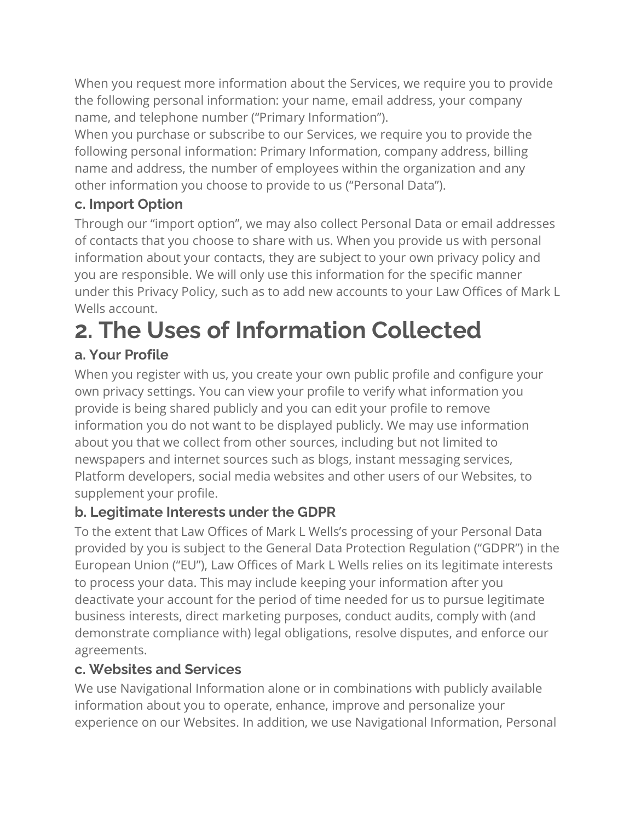When you request more information about the Services, we require you to provide the following personal information: your name, email address, your company name, and telephone number ("Primary Information").

When you purchase or subscribe to our Services, we require you to provide the following personal information: Primary Information, company address, billing name and address, the number of employees within the organization and any other information you choose to provide to us ("Personal Data").

#### **c. Import Option**

Through our "import option", we may also collect Personal Data or email addresses of contacts that you choose to share with us. When you provide us with personal information about your contacts, they are subject to your own privacy policy and you are responsible. We will only use this information for the specific manner under this Privacy Policy, such as to add new accounts to your Law Offices of Mark L Wells account.

# **2. The Uses of Information Collected**

#### **a. Your Profile**

When you register with us, you create your own public profile and configure your own privacy settings. You can view your profile to verify what information you provide is being shared publicly and you can edit your profile to remove information you do not want to be displayed publicly. We may use information about you that we collect from other sources, including but not limited to newspapers and internet sources such as blogs, instant messaging services, Platform developers, social media websites and other users of our Websites, to supplement your profile.

#### **b. Legitimate Interests under the GDPR**

To the extent that Law Offices of Mark L Wells's processing of your Personal Data provided by you is subject to the General Data Protection Regulation ("GDPR") in the European Union ("EU"), Law Offices of Mark L Wells relies on its legitimate interests to process your data. This may include keeping your information after you deactivate your account for the period of time needed for us to pursue legitimate business interests, direct marketing purposes, conduct audits, comply with (and demonstrate compliance with) legal obligations, resolve disputes, and enforce our agreements.

#### **c. Websites and Services**

We use Navigational Information alone or in combinations with publicly available information about you to operate, enhance, improve and personalize your experience on our Websites. In addition, we use Navigational Information, Personal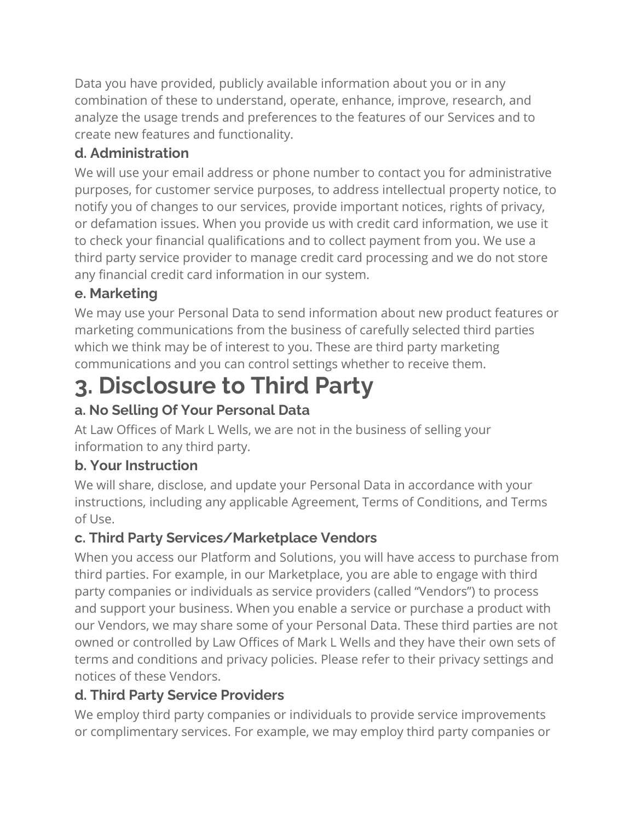Data you have provided, publicly available information about you or in any combination of these to understand, operate, enhance, improve, research, and analyze the usage trends and preferences to the features of our Services and to create new features and functionality.

#### **d. Administration**

We will use your email address or phone number to contact you for administrative purposes, for customer service purposes, to address intellectual property notice, to notify you of changes to our services, provide important notices, rights of privacy, or defamation issues. When you provide us with credit card information, we use it to check your financial qualifications and to collect payment from you. We use a third party service provider to manage credit card processing and we do not store any financial credit card information in our system.

#### **e. Marketing**

We may use your Personal Data to send information about new product features or marketing communications from the business of carefully selected third parties which we think may be of interest to you. These are third party marketing communications and you can control settings whether to receive them.

### **3. Disclosure to Third Party**

#### **a. No Selling Of Your Personal Data**

At Law Offices of Mark L Wells, we are not in the business of selling your information to any third party.

#### **b. Your Instruction**

We will share, disclose, and update your Personal Data in accordance with your instructions, including any applicable Agreement, Terms of Conditions, and Terms of Use.

#### **c. Third Party Services/Marketplace Vendors**

When you access our Platform and Solutions, you will have access to purchase from third parties. For example, in our Marketplace, you are able to engage with third party companies or individuals as service providers (called "Vendors") to process and support your business. When you enable a service or purchase a product with our Vendors, we may share some of your Personal Data. These third parties are not owned or controlled by Law Offices of Mark L Wells and they have their own sets of terms and conditions and privacy policies. Please refer to their privacy settings and notices of these Vendors.

#### **d. Third Party Service Providers**

We employ third party companies or individuals to provide service improvements or complimentary services. For example, we may employ third party companies or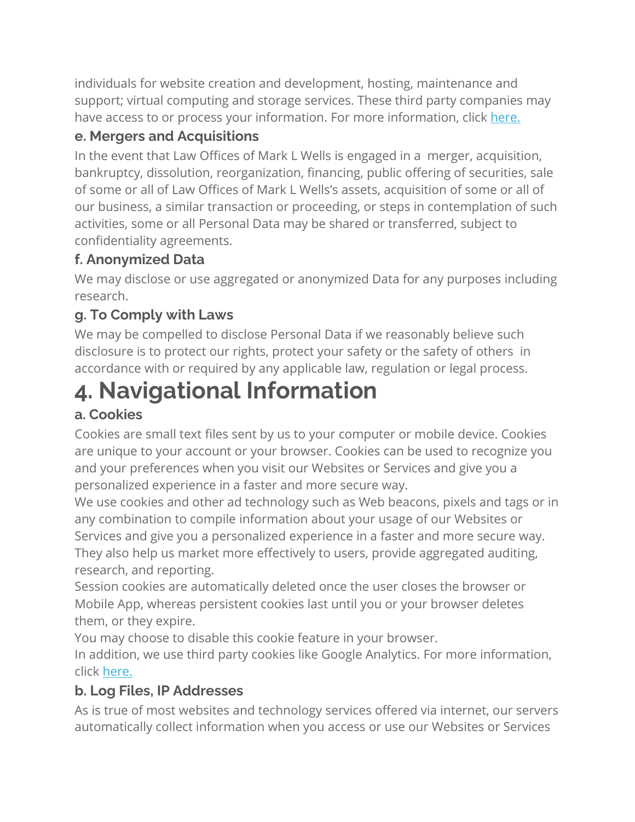individuals for website creation and development, hosting, maintenance and support; virtual computing and storage services. These third party companies may have access to or process your information. For more information, click [here.](https://www.vendasta.com/privacy-policy/third-party-subprocessors)

#### **e. Mergers and Acquisitions**

In the event that Law Offices of Mark L Wells is engaged in a merger, acquisition, bankruptcy, dissolution, reorganization, financing, public offering of securities, sale of some or all of Law Offices of Mark L Wells's assets, acquisition of some or all of our business, a similar transaction or proceeding, or steps in contemplation of such activities, some or all Personal Data may be shared or transferred, subject to confidentiality agreements.

#### **f. Anonymized Data**

We may disclose or use aggregated or anonymized Data for any purposes including research.

#### **g. To Comply with Laws**

We may be compelled to disclose Personal Data if we reasonably believe such disclosure is to protect our rights, protect your safety or the safety of others in accordance with or required by any applicable law, regulation or legal process.

### **4. Navigational Information**

#### **a. Cookies**

Cookies are small text files sent by us to your computer or mobile device. Cookies are unique to your account or your browser. Cookies can be used to recognize you and your preferences when you visit our Websites or Services and give you a personalized experience in a faster and more secure way.

We use cookies and other ad technology such as Web beacons, pixels and tags or in any combination to compile information about your usage of our Websites or Services and give you a personalized experience in a faster and more secure way. They also help us market more effectively to users, provide aggregated auditing, research, and reporting.

Session cookies are automatically deleted once the user closes the browser or Mobile App, whereas persistent cookies last until you or your browser deletes them, or they expire.

You may choose to disable this cookie feature in your browser.

In addition, we use third party cookies like Google Analytics. For more information, click [here.](https://support.google.com/analytics/answer/6004245?hl=en)

#### **b. Log Files, IP Addresses**

As is true of most websites and technology services offered via internet, our servers automatically collect information when you access or use our Websites or Services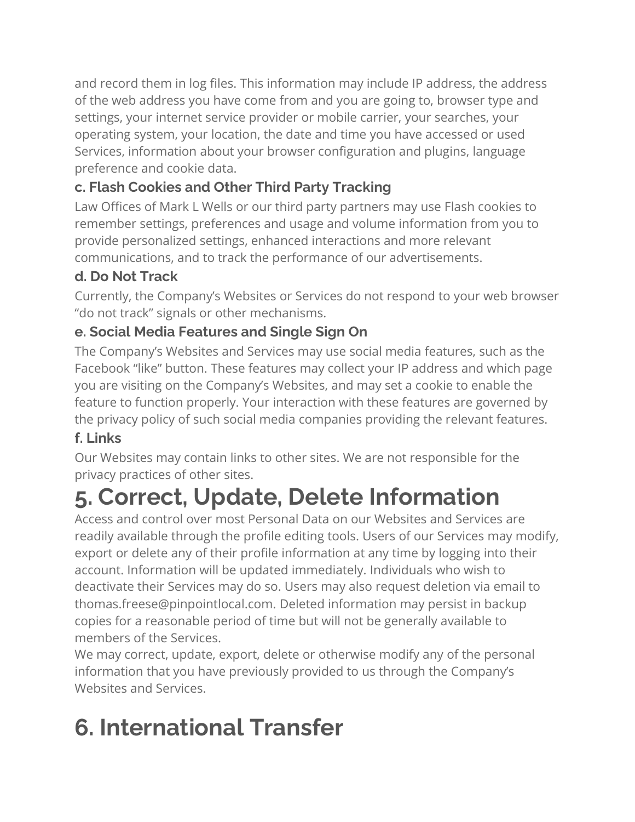and record them in log files. This information may include IP address, the address of the web address you have come from and you are going to, browser type and settings, your internet service provider or mobile carrier, your searches, your operating system, your location, the date and time you have accessed or used Services, information about your browser configuration and plugins, language preference and cookie data.

#### **c. Flash Cookies and Other Third Party Tracking**

Law Offices of Mark L Wells or our third party partners may use Flash cookies to remember settings, preferences and usage and volume information from you to provide personalized settings, enhanced interactions and more relevant communications, and to track the performance of our advertisements.

#### **d. Do Not Track**

Currently, the Company's Websites or Services do not respond to your web browser "do not track" signals or other mechanisms.

#### **e. Social Media Features and Single Sign On**

The Company's Websites and Services may use social media features, such as the Facebook "like" button. These features may collect your IP address and which page you are visiting on the Company's Websites, and may set a cookie to enable the feature to function properly. Your interaction with these features are governed by the privacy policy of such social media companies providing the relevant features.

#### **f. Links**

Our Websites may contain links to other sites. We are not responsible for the privacy practices of other sites.

## **5. Correct, Update, Delete Information**

Access and control over most Personal Data on our Websites and Services are readily available through the profile editing tools. Users of our Services may modify, export or delete any of their profile information at any time by logging into their account. Information will be updated immediately. Individuals who wish to deactivate their Services may do so. Users may also request deletion via email to thomas.freese@pinpointlocal.com. Deleted information may persist in backup copies for a reasonable period of time but will not be generally available to members of the Services.

We may correct, update, export, delete or otherwise modify any of the personal information that you have previously provided to us through the Company's Websites and Services.

# **6. International Transfer**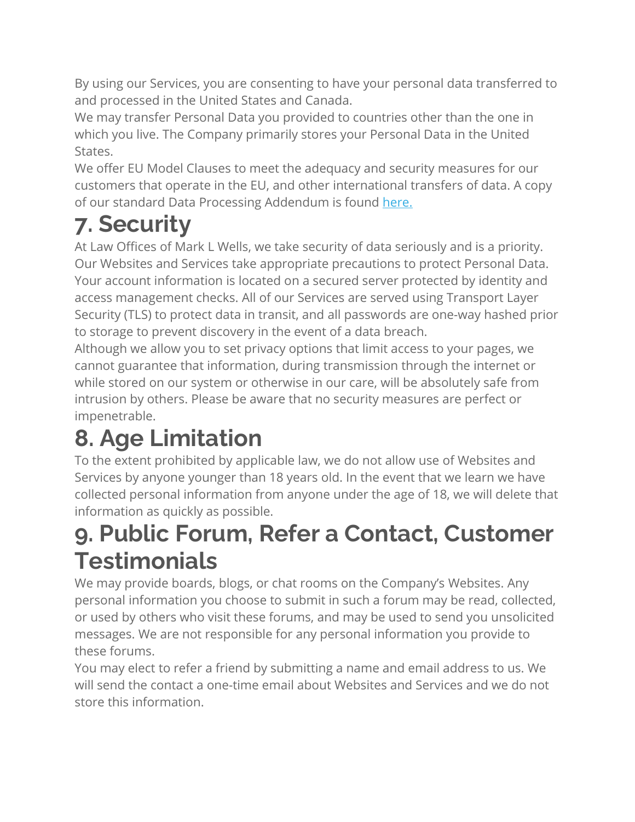By using our Services, you are consenting to have your personal data transferred to and processed in the United States and Canada.

We may transfer Personal Data you provided to countries other than the one in which you live. The Company primarily stores your Personal Data in the United States.

We offer EU Model Clauses to meet the adequacy and security measures for our customers that operate in the EU, and other international transfers of data. A copy of our standard Data Processing Addendum is found [here.](https://www.vendasta.com/privacy-policy/data-processing-addendum)

# **7. Security**

At Law Offices of Mark L Wells, we take security of data seriously and is a priority. Our Websites and Services take appropriate precautions to protect Personal Data. Your account information is located on a secured server protected by identity and access management checks. All of our Services are served using Transport Layer Security (TLS) to protect data in transit, and all passwords are one-way hashed prior to storage to prevent discovery in the event of a data breach.

Although we allow you to set privacy options that limit access to your pages, we cannot guarantee that information, during transmission through the internet or while stored on our system or otherwise in our care, will be absolutely safe from intrusion by others. Please be aware that no security measures are perfect or impenetrable.

## **8. Age Limitation**

To the extent prohibited by applicable law, we do not allow use of Websites and Services by anyone younger than 18 years old. In the event that we learn we have collected personal information from anyone under the age of 18, we will delete that information as quickly as possible.

### **9. Public Forum, Refer a Contact, Customer Testimonials**

We may provide boards, blogs, or chat rooms on the Company's Websites. Any personal information you choose to submit in such a forum may be read, collected, or used by others who visit these forums, and may be used to send you unsolicited messages. We are not responsible for any personal information you provide to these forums.

You may elect to refer a friend by submitting a name and email address to us. We will send the contact a one-time email about Websites and Services and we do not store this information.